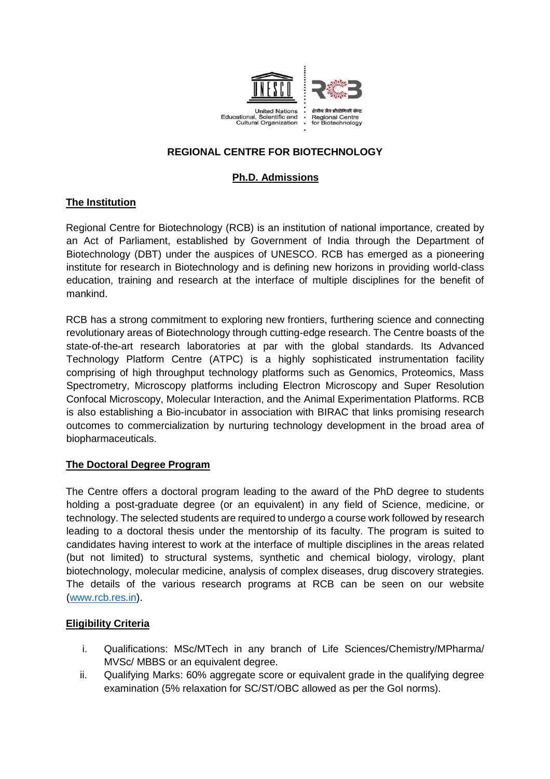

# **REGIONAL CENTRE FOR BIOTECHNOLOGY**

# **Ph.D. Admissions**

## **The Institution**

Regional Centre for Biotechnology (RCB) is an institution of national importance, created by an Act of Parliament, established by Government of India through the Department of Biotechnology (DBT) under the auspices of UNESCO. RCB has emerged as a pioneering institute for research in Biotechnology and is defining new horizons in providing world-class education, training and research at the interface of multiple disciplines for the benefit of mankind.

RCB has a strong commitment to exploring new frontiers, furthering science and connecting revolutionary areas of Biotechnology through cutting-edge research. The Centre boasts of the state-of-the-art research laboratories at par with the global standards. Its Advanced Technology Platform Centre (ATPC) is a highly sophisticated instrumentation facility comprising of high throughput technology platforms such as Genomics, Proteomics, Mass Spectrometry, Microscopy platforms including Electron Microscopy and Super Resolution Confocal Microscopy, Molecular Interaction, and the Animal Experimentation Platforms. RCB is also establishing a Bio-incubator in association with BIRAC that links promising research outcomes to commercialization by nurturing technology development in the broad area of biopharmaceuticals.

### **The Doctoral Degree Program**

The Centre offers a doctoral program leading to the award of the PhD degree to students holding a post-graduate degree (or an equivalent) in any field of Science, medicine, or technology. The selected students are required to undergo a course work followed by research leading to a doctoral thesis under the mentorship of its faculty. The program is suited to candidates having interest to work at the interface of multiple disciplines in the areas related (but not limited) to structural systems, synthetic and chemical biology, virology, plant biotechnology, molecular medicine, analysis of complex diseases, drug discovery strategies. The details of the various research programs at RCB can be seen on our website (www.rcb.res.in).

### **Eligibility Criteria**

- i. Qualifications: MSc/MTech in any branch of Life Sciences/Chemistry/MPharma/ MVSc/ MBBS or an equivalent degree.
- ii. Qualifying Marks: 60% aggregate score or equivalent grade in the qualifying degree examination (5% relaxation for SC/ST/OBC allowed as per the GoI norms).